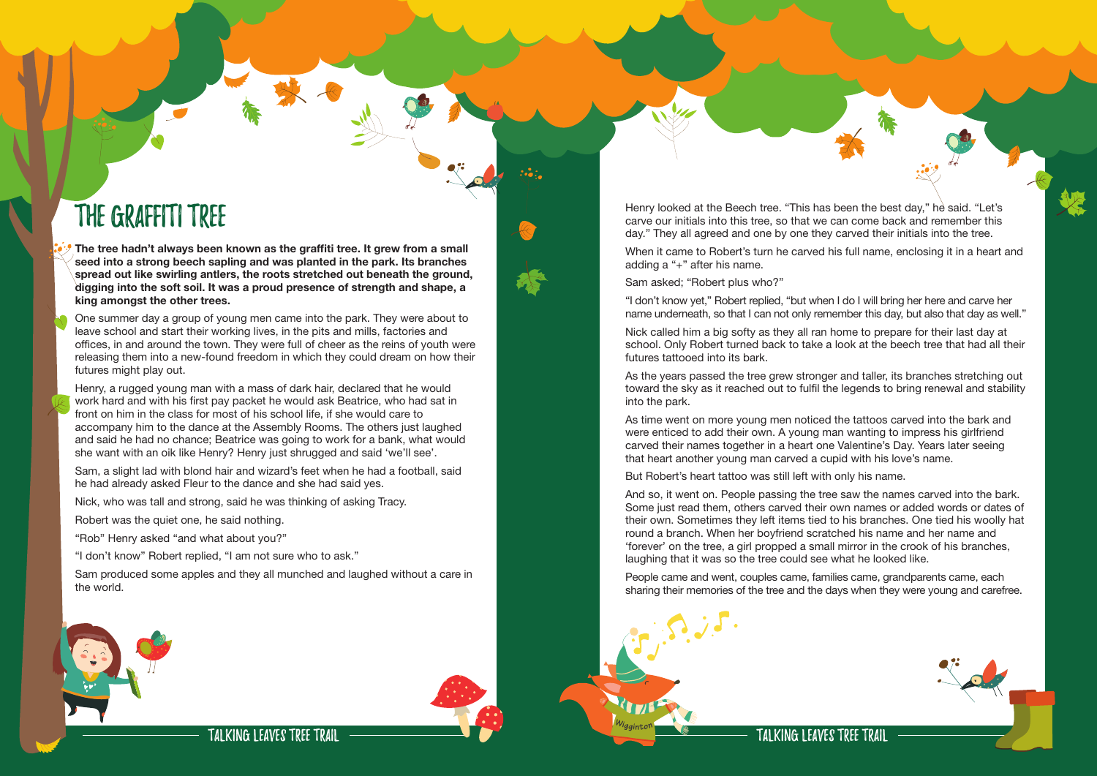Talking Leaves Tree Trail

One summer day a group of young men came into the park. They were about to leave school and start their working lives, in the pits and mills, factories and offices, in and around the town. They were full of cheer as the reins of youth were releasing them into a new-found freedom in which they could dream on how their futures might play out.

The Graffiti Tree **The tree hadn't always been known as the graffiti tree. It grew from a small seed into a strong beech sapling and was planted in the park. Its branches spread out like swirling antlers, the roots stretched out beneath the ground, digging into the soft soil. It was a proud presence of strength and shape, a king amongst the other trees.** 

## TAI KING I FAVES TREE TRAII Talking Leaves Tree Trail



Henry, a rugged young man with a mass of dark hair, declared that he would work hard and with his first pay packet he would ask Beatrice, who had sat in front on him in the class for most of his school life, if she would care to accompany him to the dance at the Assembly Rooms. The others just laughed and said he had no chance; Beatrice was going to work for a bank, what would she want with an oik like Henry? Henry just shrugged and said 'we'll see'.

Sam, a slight lad with blond hair and wizard's feet when he had a football, said he had already asked Fleur to the dance and she had said yes.

Nick, who was tall and strong, said he was thinking of asking Tracy.

Robert was the quiet one, he said nothing.

"Rob" Henry asked "and what about you?"

"I don't know" Robert replied, "I am not sure who to ask."

Sam produced some apples and they all munched and laughed without a care in the world.





Henry looked at the Beech tree. "This has been the best day," he said. "Let's carve our initials into this tree, so that we can come back and remember this day." They all agreed and one by one they carved their initials into the tree.

When it came to Robert's turn he carved his full name, enclosing it in a heart and adding a "+" after his name.

Sam asked; "Robert plus who?"

"I don't know yet," Robert replied, "but when I do I will bring her here and carve her name underneath, so that I can not only remember this day, but also that day as well."

Nick called him a big softy as they all ran home to prepare for their last day at school. Only Robert turned back to take a look at the beech tree that had all their futures tattooed into its bark.

As the years passed the tree grew stronger and taller, its branches stretching out toward the sky as it reached out to fulfil the legends to bring renewal and stability into the park.

As time went on more young men noticed the tattoos carved into the bark and were enticed to add their own. A young man wanting to impress his girlfriend carved their names together in a heart one Valentine's Day. Years later seeing that heart another young man carved a cupid with his love's name.

But Robert's heart tattoo was still left with only his name.

And so, it went on. People passing the tree saw the names carved into the bark. Some just read them, others carved their own names or added words or dates of their own. Sometimes they left items tied to his branches. One tied his woolly hat round a branch. When her boyfriend scratched his name and her name and 'forever' on the tree, a girl propped a small mirror in the crook of his branches, laughing that it was so the tree could see what he looked like.

People came and went, couples came, families came, grandparents came, each sharing their memories of the tree and the days when they were young and carefree.